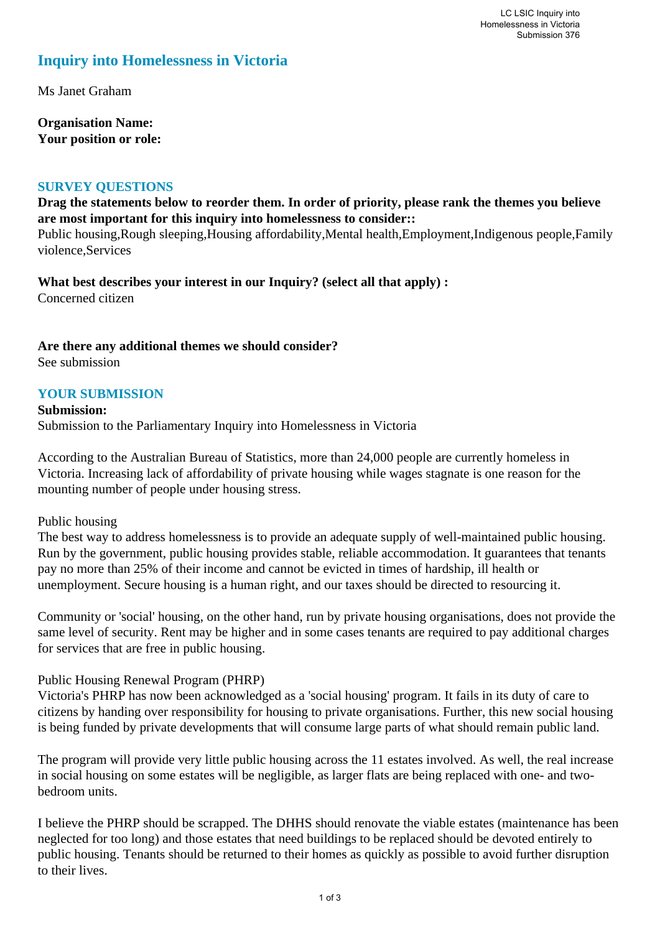# **Inquiry into Homelessness in Victoria**

Ms Janet Graham

**Organisation Name: Your position or role:** 

#### **SURVEY QUESTIONS**

## **Drag the statements below to reorder them. In order of priority, please rank the themes you believe are most important for this inquiry into homelessness to consider::**

Public housing,Rough sleeping,Housing affordability,Mental health,Employment,Indigenous people,Family violence,Services

**What best describes your interest in our Inquiry? (select all that apply) :**  Concerned citizen

## **Are there any additional themes we should consider?**

See submission

# **YOUR SUBMISSION**

**Submission:**  Submission to the Parliamentary Inquiry into Homelessness in Victoria

According to the Australian Bureau of Statistics, more than 24,000 people are currently homeless in Victoria. Increasing lack of affordability of private housing while wages stagnate is one reason for the mounting number of people under housing stress.

#### Public housing

The best way to address homelessness is to provide an adequate supply of well-maintained public housing. Run by the government, public housing provides stable, reliable accommodation. It guarantees that tenants pay no more than 25% of their income and cannot be evicted in times of hardship, ill health or unemployment. Secure housing is a human right, and our taxes should be directed to resourcing it.

Community or 'social' housing, on the other hand, run by private housing organisations, does not provide the same level of security. Rent may be higher and in some cases tenants are required to pay additional charges for services that are free in public housing.

#### Public Housing Renewal Program (PHRP)

Victoria's PHRP has now been acknowledged as a 'social housing' program. It fails in its duty of care to citizens by handing over responsibility for housing to private organisations. Further, this new social housing is being funded by private developments that will consume large parts of what should remain public land.

The program will provide very little public housing across the 11 estates involved. As well, the real increase in social housing on some estates will be negligible, as larger flats are being replaced with one- and twobedroom units.

I believe the PHRP should be scrapped. The DHHS should renovate the viable estates (maintenance has been neglected for too long) and those estates that need buildings to be replaced should be devoted entirely to public housing. Tenants should be returned to their homes as quickly as possible to avoid further disruption to their lives.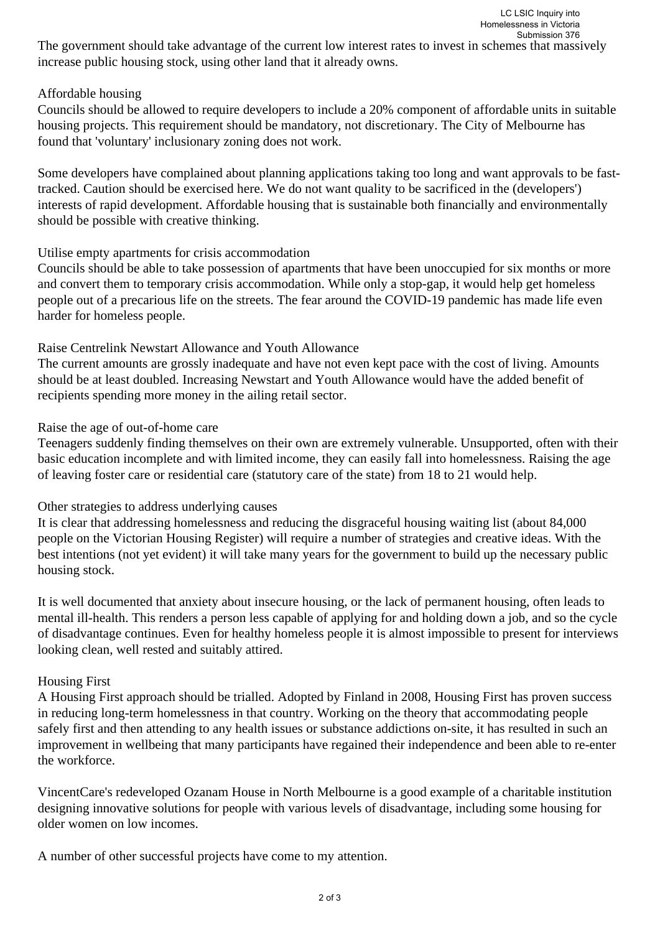The government should take advantage of the current low interest rates to invest in schemes that massively increase public housing stock, using other land that it already owns.

## Affordable housing

Councils should be allowed to require developers to include a 20% component of affordable units in suitable housing projects. This requirement should be mandatory, not discretionary. The City of Melbourne has found that 'voluntary' inclusionary zoning does not work.

Some developers have complained about planning applications taking too long and want approvals to be fasttracked. Caution should be exercised here. We do not want quality to be sacrificed in the (developers') interests of rapid development. Affordable housing that is sustainable both financially and environmentally should be possible with creative thinking.

## Utilise empty apartments for crisis accommodation

Councils should be able to take possession of apartments that have been unoccupied for six months or more and convert them to temporary crisis accommodation. While only a stop-gap, it would help get homeless people out of a precarious life on the streets. The fear around the COVID-19 pandemic has made life even harder for homeless people.

#### Raise Centrelink Newstart Allowance and Youth Allowance

The current amounts are grossly inadequate and have not even kept pace with the cost of living. Amounts should be at least doubled. Increasing Newstart and Youth Allowance would have the added benefit of recipients spending more money in the ailing retail sector.

#### Raise the age of out-of-home care

Teenagers suddenly finding themselves on their own are extremely vulnerable. Unsupported, often with their basic education incomplete and with limited income, they can easily fall into homelessness. Raising the age of leaving foster care or residential care (statutory care of the state) from 18 to 21 would help.

## Other strategies to address underlying causes

It is clear that addressing homelessness and reducing the disgraceful housing waiting list (about 84,000 people on the Victorian Housing Register) will require a number of strategies and creative ideas. With the best intentions (not yet evident) it will take many years for the government to build up the necessary public housing stock.

It is well documented that anxiety about insecure housing, or the lack of permanent housing, often leads to mental ill-health. This renders a person less capable of applying for and holding down a job, and so the cycle of disadvantage continues. Even for healthy homeless people it is almost impossible to present for interviews looking clean, well rested and suitably attired.

#### Housing First

A Housing First approach should be trialled. Adopted by Finland in 2008, Housing First has proven success in reducing long-term homelessness in that country. Working on the theory that accommodating people safely first and then attending to any health issues or substance addictions on-site, it has resulted in such an improvement in wellbeing that many participants have regained their independence and been able to re-enter the workforce.

VincentCare's redeveloped Ozanam House in North Melbourne is a good example of a charitable institution designing innovative solutions for people with various levels of disadvantage, including some housing for older women on low incomes.

A number of other successful projects have come to my attention.